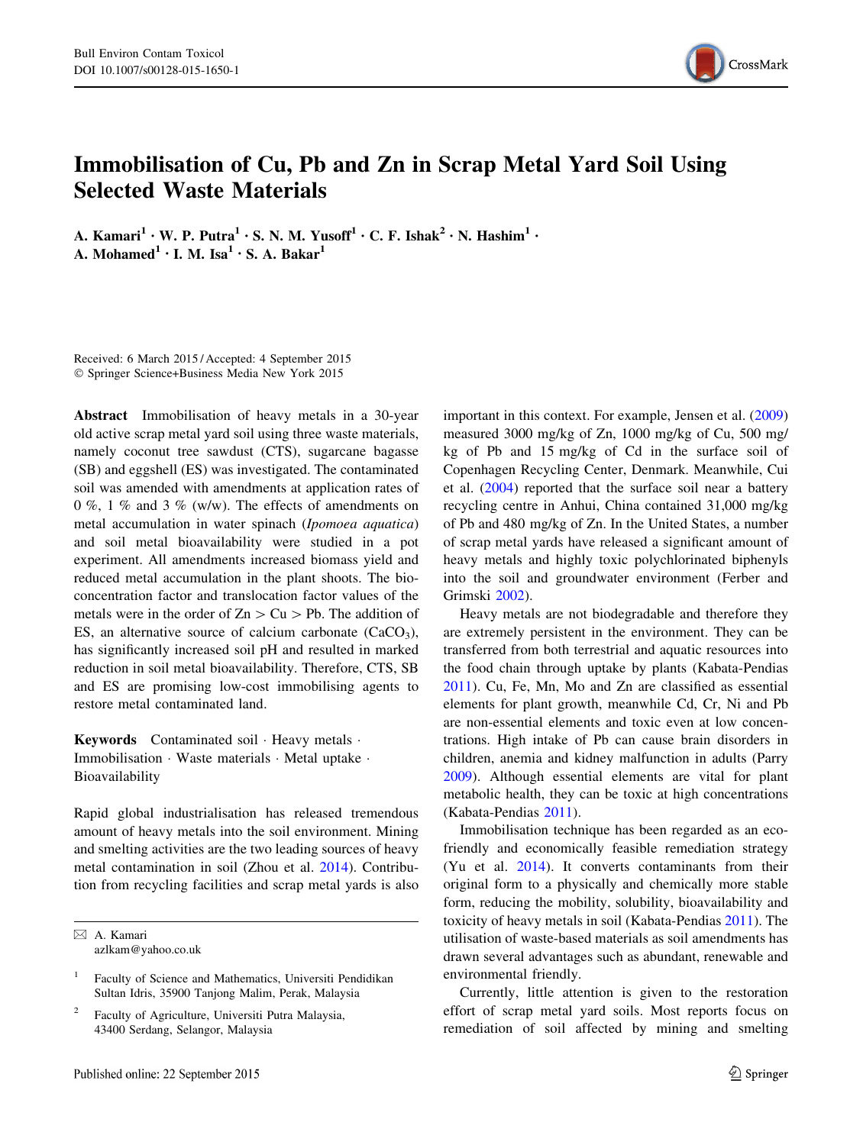

# Immobilisation of Cu, Pb and Zn in Scrap Metal Yard Soil Using Selected Waste Materials

A. Kamari<sup>1</sup> • W. P. Putra<sup>1</sup> • S. N. M. Yusoff<sup>1</sup> • C. F. Ishak<sup>2</sup> • N. Hashim<sup>1</sup> • A. Mohamed<sup>1</sup> • I. M. Isa<sup>1</sup> • S. A. Bakar<sup>1</sup>

Received: 6 March 2015 / Accepted: 4 September 2015 - Springer Science+Business Media New York 2015

Abstract Immobilisation of heavy metals in a 30-year old active scrap metal yard soil using three waste materials, namely coconut tree sawdust (CTS), sugarcane bagasse (SB) and eggshell (ES) was investigated. The contaminated soil was amended with amendments at application rates of 0 %, 1 % and 3 % (w/w). The effects of amendments on metal accumulation in water spinach (Ipomoea aquatica) and soil metal bioavailability were studied in a pot experiment. All amendments increased biomass yield and reduced metal accumulation in the plant shoots. The bioconcentration factor and translocation factor values of the metals were in the order of  $Zn > Cu > Pb$ . The addition of ES, an alternative source of calcium carbonate  $(CaCO<sub>3</sub>)$ , has significantly increased soil pH and resulted in marked reduction in soil metal bioavailability. Therefore, CTS, SB and ES are promising low-cost immobilising agents to restore metal contaminated land.

Keywords Contaminated soil · Heavy metals · Immobilisation - Waste materials - Metal uptake - Bioavailability

Rapid global industrialisation has released tremendous amount of heavy metals into the soil environment. Mining and smelting activities are the two leading sources of heavy metal contamination in soil (Zhou et al. [2014\)](#page-5-0). Contribution from recycling facilities and scrap metal yards is also

& A. Kamari azlkam@yahoo.co.uk

Faculty of Agriculture, Universiti Putra Malaysia, 43400 Serdang, Selangor, Malaysia

important in this context. For example, Jensen et al. ([2009\)](#page-5-0) measured 3000 mg/kg of Zn, 1000 mg/kg of Cu, 500 mg/ kg of Pb and 15 mg/kg of Cd in the surface soil of Copenhagen Recycling Center, Denmark. Meanwhile, Cui et al. ([2004\)](#page-5-0) reported that the surface soil near a battery recycling centre in Anhui, China contained 31,000 mg/kg of Pb and 480 mg/kg of Zn. In the United States, a number of scrap metal yards have released a significant amount of heavy metals and highly toxic polychlorinated biphenyls into the soil and groundwater environment (Ferber and Grimski [2002](#page-5-0)).

Heavy metals are not biodegradable and therefore they are extremely persistent in the environment. They can be transferred from both terrestrial and aquatic resources into the food chain through uptake by plants (Kabata-Pendias [2011](#page-5-0)). Cu, Fe, Mn, Mo and Zn are classified as essential elements for plant growth, meanwhile Cd, Cr, Ni and Pb are non-essential elements and toxic even at low concentrations. High intake of Pb can cause brain disorders in children, anemia and kidney malfunction in adults (Parry [2009](#page-5-0)). Although essential elements are vital for plant metabolic health, they can be toxic at high concentrations (Kabata-Pendias [2011\)](#page-5-0).

Immobilisation technique has been regarded as an ecofriendly and economically feasible remediation strategy (Yu et al. [2014\)](#page-5-0). It converts contaminants from their original form to a physically and chemically more stable form, reducing the mobility, solubility, bioavailability and toxicity of heavy metals in soil (Kabata-Pendias [2011](#page-5-0)). The utilisation of waste-based materials as soil amendments has drawn several advantages such as abundant, renewable and environmental friendly.

Currently, little attention is given to the restoration effort of scrap metal yard soils. Most reports focus on remediation of soil affected by mining and smelting

<sup>1</sup> Faculty of Science and Mathematics, Universiti Pendidikan Sultan Idris, 35900 Tanjong Malim, Perak, Malaysia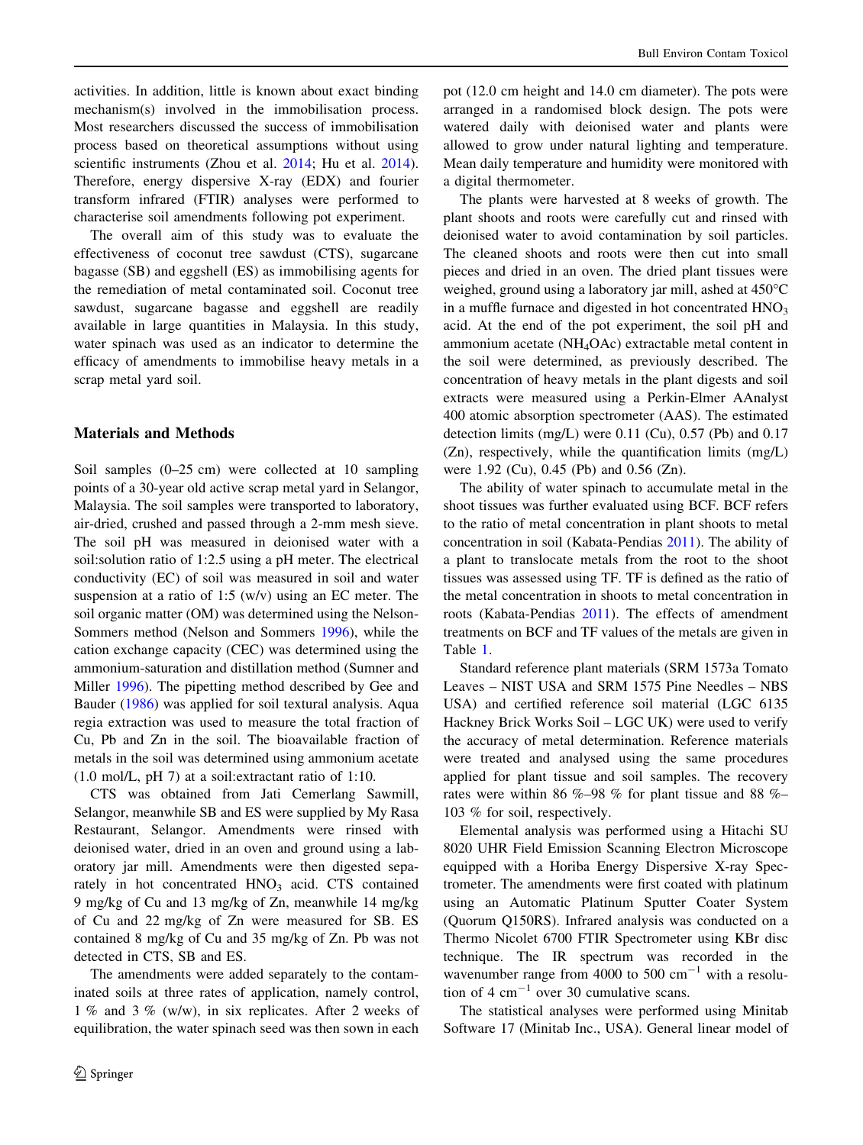activities. In addition, little is known about exact binding mechanism(s) involved in the immobilisation process. Most researchers discussed the success of immobilisation process based on theoretical assumptions without using scientific instruments (Zhou et al. [2014](#page-5-0); Hu et al. [2014](#page-5-0)). Therefore, energy dispersive X-ray (EDX) and fourier transform infrared (FTIR) analyses were performed to characterise soil amendments following pot experiment.

The overall aim of this study was to evaluate the effectiveness of coconut tree sawdust (CTS), sugarcane bagasse (SB) and eggshell (ES) as immobilising agents for the remediation of metal contaminated soil. Coconut tree sawdust, sugarcane bagasse and eggshell are readily available in large quantities in Malaysia. In this study, water spinach was used as an indicator to determine the efficacy of amendments to immobilise heavy metals in a scrap metal yard soil.

# Materials and Methods

Soil samples (0–25 cm) were collected at 10 sampling points of a 30-year old active scrap metal yard in Selangor, Malaysia. The soil samples were transported to laboratory, air-dried, crushed and passed through a 2-mm mesh sieve. The soil pH was measured in deionised water with a soil:solution ratio of 1:2.5 using a pH meter. The electrical conductivity (EC) of soil was measured in soil and water suspension at a ratio of 1:5 (w/v) using an EC meter. The soil organic matter (OM) was determined using the Nelson-Sommers method (Nelson and Sommers [1996](#page-5-0)), while the cation exchange capacity (CEC) was determined using the ammonium-saturation and distillation method (Sumner and Miller [1996](#page-5-0)). The pipetting method described by Gee and Bauder [\(1986](#page-5-0)) was applied for soil textural analysis. Aqua regia extraction was used to measure the total fraction of Cu, Pb and Zn in the soil. The bioavailable fraction of metals in the soil was determined using ammonium acetate (1.0 mol/L, pH 7) at a soil:extractant ratio of 1:10.

CTS was obtained from Jati Cemerlang Sawmill, Selangor, meanwhile SB and ES were supplied by My Rasa Restaurant, Selangor. Amendments were rinsed with deionised water, dried in an oven and ground using a laboratory jar mill. Amendments were then digested separately in hot concentrated HNO<sub>3</sub> acid. CTS contained 9 mg/kg of Cu and 13 mg/kg of Zn, meanwhile 14 mg/kg of Cu and 22 mg/kg of Zn were measured for SB. ES contained 8 mg/kg of Cu and 35 mg/kg of Zn. Pb was not detected in CTS, SB and ES.

The amendments were added separately to the contaminated soils at three rates of application, namely control, 1 % and 3 % (w/w), in six replicates. After 2 weeks of equilibration, the water spinach seed was then sown in each pot (12.0 cm height and 14.0 cm diameter). The pots were arranged in a randomised block design. The pots were watered daily with deionised water and plants were allowed to grow under natural lighting and temperature. Mean daily temperature and humidity were monitored with a digital thermometer.

The plants were harvested at 8 weeks of growth. The plant shoots and roots were carefully cut and rinsed with deionised water to avoid contamination by soil particles. The cleaned shoots and roots were then cut into small pieces and dried in an oven. The dried plant tissues were weighed, ground using a laboratory jar mill, ashed at 450°C in a muffle furnace and digested in hot concentrated  $HNO<sub>3</sub>$ acid. At the end of the pot experiment, the soil pH and ammonium acetate (NH4OAc) extractable metal content in the soil were determined, as previously described. The concentration of heavy metals in the plant digests and soil extracts were measured using a Perkin-Elmer AAnalyst 400 atomic absorption spectrometer (AAS). The estimated detection limits (mg/L) were 0.11 (Cu), 0.57 (Pb) and 0.17 (Zn), respectively, while the quantification limits (mg/L) were 1.92 (Cu), 0.45 (Pb) and 0.56 (Zn).

The ability of water spinach to accumulate metal in the shoot tissues was further evaluated using BCF. BCF refers to the ratio of metal concentration in plant shoots to metal concentration in soil (Kabata-Pendias [2011](#page-5-0)). The ability of a plant to translocate metals from the root to the shoot tissues was assessed using TF. TF is defined as the ratio of the metal concentration in shoots to metal concentration in roots (Kabata-Pendias [2011\)](#page-5-0). The effects of amendment treatments on BCF and TF values of the metals are given in Table [1](#page-2-0).

Standard reference plant materials (SRM 1573a Tomato Leaves – NIST USA and SRM 1575 Pine Needles – NBS USA) and certified reference soil material (LGC 6135 Hackney Brick Works Soil – LGC UK) were used to verify the accuracy of metal determination. Reference materials were treated and analysed using the same procedures applied for plant tissue and soil samples. The recovery rates were within 86 %–98 % for plant tissue and 88 %– 103 % for soil, respectively.

Elemental analysis was performed using a Hitachi SU 8020 UHR Field Emission Scanning Electron Microscope equipped with a Horiba Energy Dispersive X-ray Spectrometer. The amendments were first coated with platinum using an Automatic Platinum Sputter Coater System (Quorum Q150RS). Infrared analysis was conducted on a Thermo Nicolet 6700 FTIR Spectrometer using KBr disc technique. The IR spectrum was recorded in the wavenumber range from 4000 to 500  $\text{cm}^{-1}$  with a resolution of 4  $cm^{-1}$  over 30 cumulative scans.

The statistical analyses were performed using Minitab Software 17 (Minitab Inc., USA). General linear model of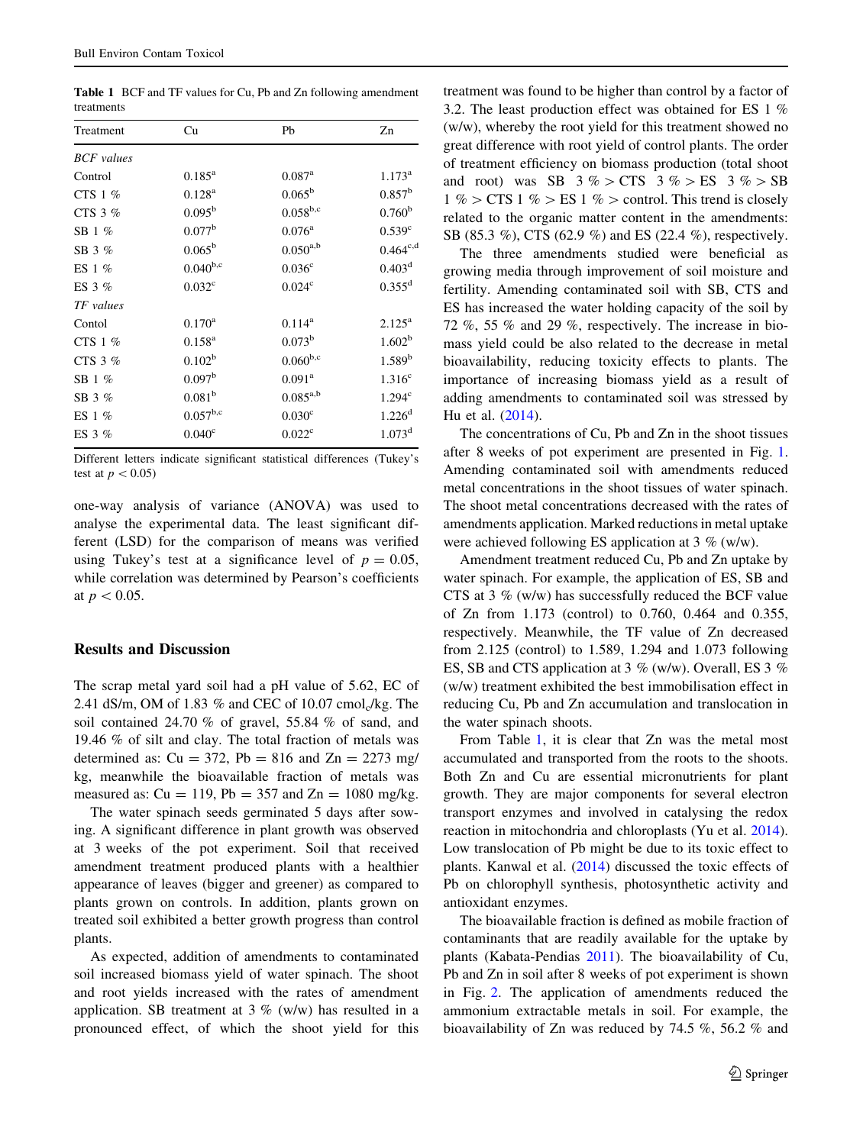<span id="page-2-0"></span>Table 1 BCF and TF values for Cu, Pb and Zn following amendment treatments

| Treatment         | Cu                 | Pb                   | Zn                 |
|-------------------|--------------------|----------------------|--------------------|
| <b>BCF</b> values |                    |                      |                    |
| Control           | $0.185^{\rm a}$    | $0.087$ <sup>a</sup> | $1.173^{\rm a}$    |
| CTS 1 %           | $0.128^{a}$        | $0.065^{\rm b}$      | $0.857^{\rm b}$    |
| CTS $3%$          | $0.095^{b}$        | $0.058^{b,c}$        | 0.760 <sup>b</sup> |
| SB $1\%$          | $0.077^{\rm b}$    | $0.076^{\rm a}$      | $0.539^{\circ}$    |
| SB 3 %            | $0.065^{\rm b}$    | $0.050^{a,b}$        | $0.464^{c,d}$      |
| ES $1\%$          | $0.040^{b,c}$      | 0.036 <sup>c</sup>   | $0.403^{\rm d}$    |
| ES $3\%$          | 0.032 <sup>c</sup> | 0.024 <sup>c</sup>   | $0.355^d$          |
| TF values         |                    |                      |                    |
| Contol            | $0.170^{\rm a}$    | $0.114^a$            | $2.125^{a}$        |
| CTS 1 %           | $0.158^{a}$        | $0.073^{\rm b}$      | 1.602 <sup>b</sup> |
| CTS $3%$          | $0.102^{\rm b}$    | $0.060^{b,c}$        | $1.589^{b}$        |
| SB $1\%$          | 0.097 <sup>b</sup> | $0.091^{\rm a}$      | 1.316 <sup>c</sup> |
| SB 3 %            | 0.081 <sup>b</sup> | $0.085^{a,b}$        | 1.294 <sup>c</sup> |
| ES $1\%$          | $0.057^{b,c}$      | 0.030 <sup>c</sup>   | 1.226 <sup>d</sup> |
| ES 3 $%$          | 0.040 <sup>c</sup> | 0.022 <sup>c</sup>   | $1.073^{\rm d}$    |

Different letters indicate significant statistical differences (Tukey's test at  $p < 0.05$ )

one-way analysis of variance (ANOVA) was used to analyse the experimental data. The least significant different (LSD) for the comparison of means was verified using Tukey's test at a significance level of  $p = 0.05$ , while correlation was determined by Pearson's coefficients at  $p < 0.05$ .

## Results and Discussion

The scrap metal yard soil had a pH value of 5.62, EC of 2.41 dS/m, OM of 1.83  $%$  and CEC of 10.07 cmol<sub>c</sub>/kg. The soil contained 24.70 % of gravel, 55.84 % of sand, and 19.46 % of silt and clay. The total fraction of metals was determined as:  $Cu = 372$ ,  $Pb = 816$  and  $Zn = 2273$  mg/ kg, meanwhile the bioavailable fraction of metals was measured as:  $Cu = 119$ ,  $Pb = 357$  and  $Zn = 1080$  mg/kg.

The water spinach seeds germinated 5 days after sowing. A significant difference in plant growth was observed at 3 weeks of the pot experiment. Soil that received amendment treatment produced plants with a healthier appearance of leaves (bigger and greener) as compared to plants grown on controls. In addition, plants grown on treated soil exhibited a better growth progress than control plants.

As expected, addition of amendments to contaminated soil increased biomass yield of water spinach. The shoot and root yields increased with the rates of amendment application. SB treatment at  $3\%$  (w/w) has resulted in a pronounced effect, of which the shoot yield for this treatment was found to be higher than control by a factor of 3.2. The least production effect was obtained for ES 1 % (w/w), whereby the root yield for this treatment showed no great difference with root yield of control plants. The order of treatment efficiency on biomass production (total shoot and root) was SB  $3\%$  > CTS  $3\%$  > ES  $3\%$  > SB  $1\%$  > CTS  $1\%$  > ES  $1\%$  > control. This trend is closely related to the organic matter content in the amendments: SB (85.3 %), CTS (62.9 %) and ES (22.4 %), respectively.

The three amendments studied were beneficial as growing media through improvement of soil moisture and fertility. Amending contaminated soil with SB, CTS and ES has increased the water holding capacity of the soil by 72 %, 55 % and 29 %, respectively. The increase in biomass yield could be also related to the decrease in metal bioavailability, reducing toxicity effects to plants. The importance of increasing biomass yield as a result of adding amendments to contaminated soil was stressed by Hu et al. ([2014\)](#page-5-0).

The concentrations of Cu, Pb and Zn in the shoot tissues after 8 weeks of pot experiment are presented in Fig. [1.](#page-3-0) Amending contaminated soil with amendments reduced metal concentrations in the shoot tissues of water spinach. The shoot metal concentrations decreased with the rates of amendments application. Marked reductions in metal uptake were achieved following ES application at 3 % (w/w).

Amendment treatment reduced Cu, Pb and Zn uptake by water spinach. For example, the application of ES, SB and CTS at 3 % (w/w) has successfully reduced the BCF value of Zn from 1.173 (control) to 0.760, 0.464 and 0.355, respectively. Meanwhile, the TF value of Zn decreased from 2.125 (control) to 1.589, 1.294 and 1.073 following ES, SB and CTS application at 3 % (w/w). Overall, ES 3 % (w/w) treatment exhibited the best immobilisation effect in reducing Cu, Pb and Zn accumulation and translocation in the water spinach shoots.

From Table 1, it is clear that Zn was the metal most accumulated and transported from the roots to the shoots. Both Zn and Cu are essential micronutrients for plant growth. They are major components for several electron transport enzymes and involved in catalysing the redox reaction in mitochondria and chloroplasts (Yu et al. [2014](#page-5-0)). Low translocation of Pb might be due to its toxic effect to plants. Kanwal et al. ([2014\)](#page-5-0) discussed the toxic effects of Pb on chlorophyll synthesis, photosynthetic activity and antioxidant enzymes.

The bioavailable fraction is defined as mobile fraction of contaminants that are readily available for the uptake by plants (Kabata-Pendias [2011\)](#page-5-0). The bioavailability of Cu, Pb and Zn in soil after 8 weeks of pot experiment is shown in Fig. [2.](#page-3-0) The application of amendments reduced the ammonium extractable metals in soil. For example, the bioavailability of Zn was reduced by 74.5 %, 56.2 % and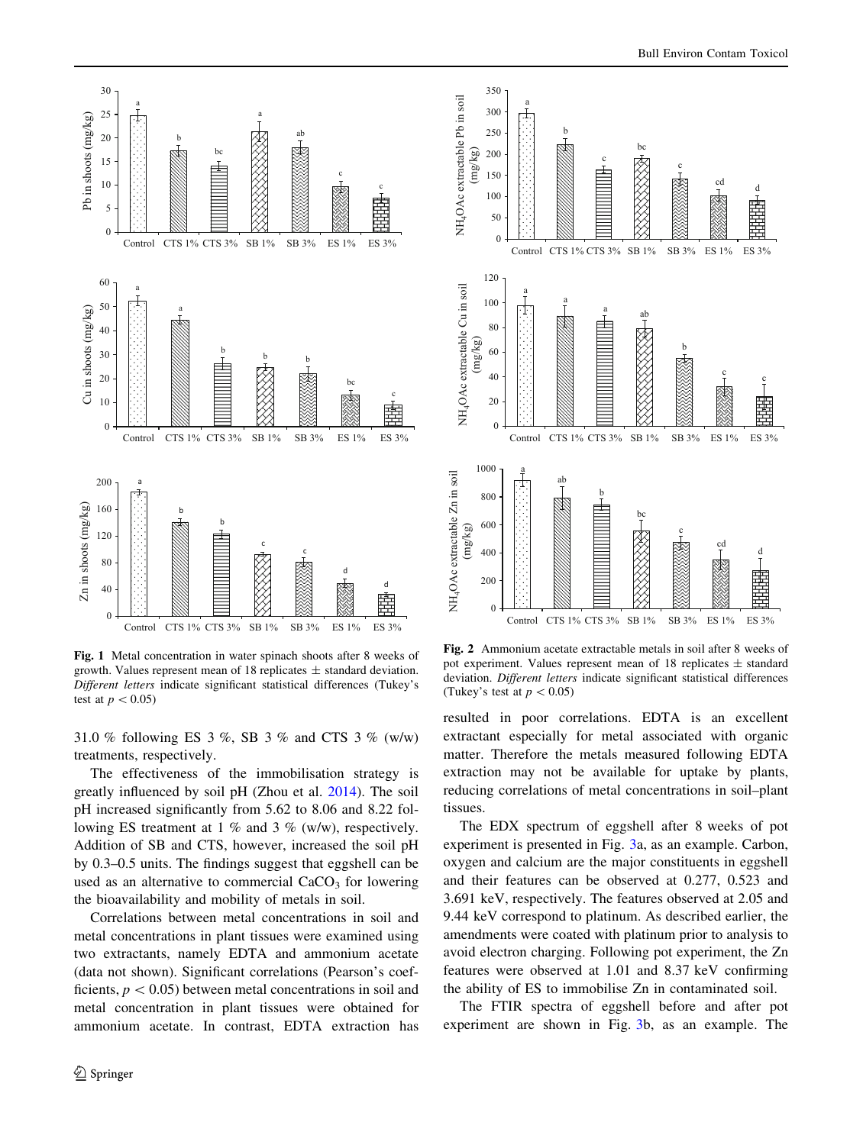<span id="page-3-0"></span>

Fig. 1 Metal concentration in water spinach shoots after 8 weeks of growth. Values represent mean of 18 replicates  $\pm$  standard deviation. Different letters indicate significant statistical differences (Tukey's test at  $p < 0.05$ )

31.0 % following ES 3 %, SB 3 % and CTS 3 % (w/w) treatments, respectively.

The effectiveness of the immobilisation strategy is greatly influenced by soil pH (Zhou et al. [2014](#page-5-0)). The soil pH increased significantly from 5.62 to 8.06 and 8.22 following ES treatment at 1 % and 3 % (w/w), respectively. Addition of SB and CTS, however, increased the soil pH by 0.3–0.5 units. The findings suggest that eggshell can be used as an alternative to commercial  $CaCO<sub>3</sub>$  for lowering the bioavailability and mobility of metals in soil.

Correlations between metal concentrations in soil and metal concentrations in plant tissues were examined using two extractants, namely EDTA and ammonium acetate (data not shown). Significant correlations (Pearson's coefficients,  $p < 0.05$ ) between metal concentrations in soil and metal concentration in plant tissues were obtained for ammonium acetate. In contrast, EDTA extraction has



Fig. 2 Ammonium acetate extractable metals in soil after 8 weeks of pot experiment. Values represent mean of 18 replicates ± standard deviation. Different letters indicate significant statistical differences (Tukey's test at  $p < 0.05$ )

resulted in poor correlations. EDTA is an excellent extractant especially for metal associated with organic matter. Therefore the metals measured following EDTA extraction may not be available for uptake by plants, reducing correlations of metal concentrations in soil–plant tissues.

The EDX spectrum of eggshell after 8 weeks of pot experiment is presented in Fig. [3a](#page-4-0), as an example. Carbon, oxygen and calcium are the major constituents in eggshell and their features can be observed at 0.277, 0.523 and 3.691 keV, respectively. The features observed at 2.05 and 9.44 keV correspond to platinum. As described earlier, the amendments were coated with platinum prior to analysis to avoid electron charging. Following pot experiment, the Zn features were observed at 1.01 and 8.37 keV confirming the ability of ES to immobilise Zn in contaminated soil.

The FTIR spectra of eggshell before and after pot experiment are shown in Fig. [3](#page-4-0)b, as an example. The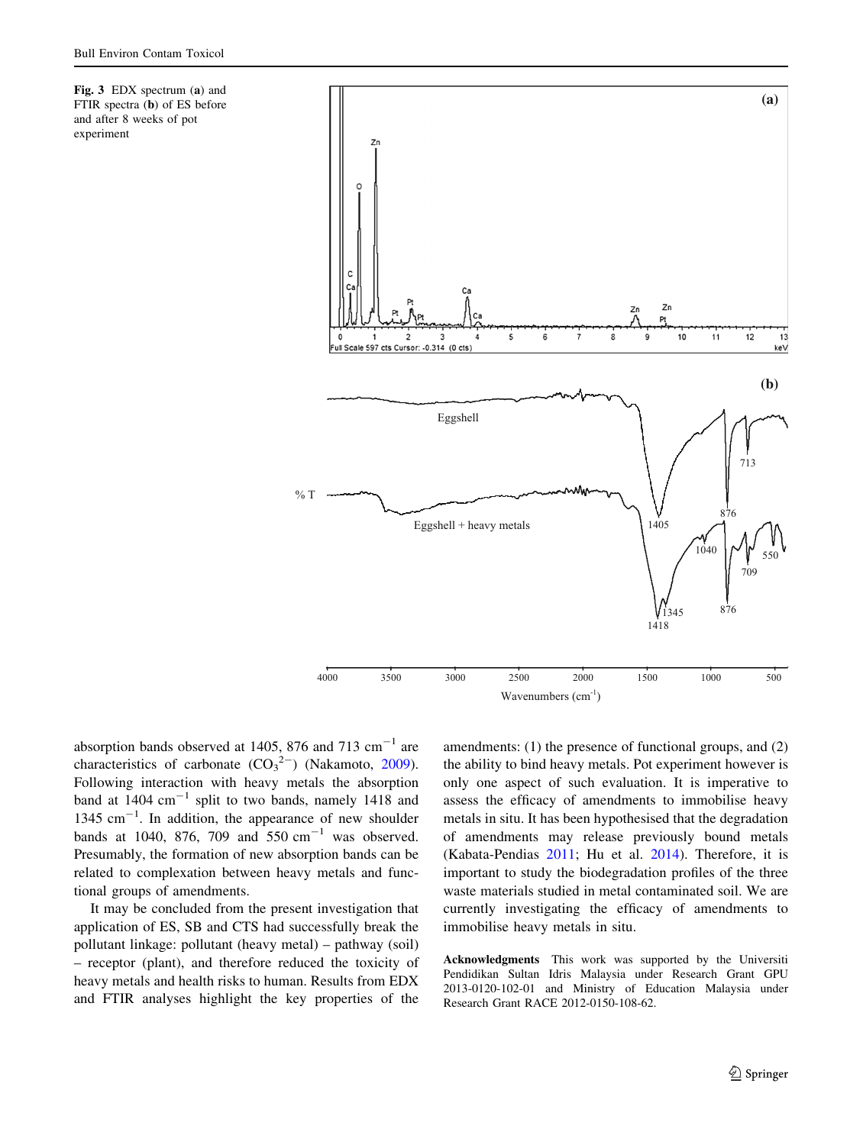

<span id="page-4-0"></span>

absorption bands observed at 1405, 876 and 713  $\text{cm}^{-1}$  are characteristics of carbonate  $(CO_3^2)$  (Nakamoto, [2009](#page-5-0)). Following interaction with heavy metals the absorption band at  $1404 \text{ cm}^{-1}$  split to two bands, namely  $1418$  and 1345 cm<sup>-1</sup>. In addition, the appearance of new shoulder bands at 1040, 876, 709 and 550  $\text{cm}^{-1}$  was observed. Presumably, the formation of new absorption bands can be related to complexation between heavy metals and functional groups of amendments.

It may be concluded from the present investigation that application of ES, SB and CTS had successfully break the pollutant linkage: pollutant (heavy metal) – pathway (soil) – receptor (plant), and therefore reduced the toxicity of heavy metals and health risks to human. Results from EDX and FTIR analyses highlight the key properties of the

amendments: (1) the presence of functional groups, and (2) the ability to bind heavy metals. Pot experiment however is only one aspect of such evaluation. It is imperative to assess the efficacy of amendments to immobilise heavy metals in situ. It has been hypothesised that the degradation of amendments may release previously bound metals (Kabata-Pendias [2011](#page-5-0); Hu et al. [2014](#page-5-0)). Therefore, it is important to study the biodegradation profiles of the three waste materials studied in metal contaminated soil. We are currently investigating the efficacy of amendments to immobilise heavy metals in situ.

Acknowledgments This work was supported by the Universiti Pendidikan Sultan Idris Malaysia under Research Grant GPU 2013-0120-102-01 and Ministry of Education Malaysia under Research Grant RACE 2012-0150-108-62.